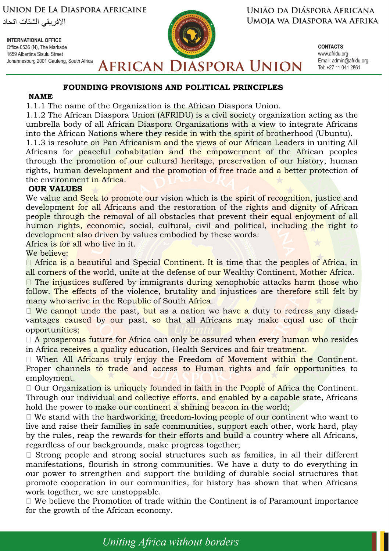**UNION DE LA DIASPORA AFRICAINE** 

الافريقي الشتات اتحاد

**INTERNATIONAL OFFICE** Office 0536 (N), The Markade 1659 Albertina Sisulu Street Johannesburg 2001 Gauteng, South Africa UNIÃO DA DIÁSPORA AFRICANA UMOJA WA DIASPORA WA AFRIKA

> **CONTACTS** www.afridu.org Email: admin@afridu.org Tel: +27 11 041 2861

### **FOUNDING PROVISIONS AND POLITICAL PRINCIPLES**

#### **NAME**

1.1.1 The name of the Organization is the African Diaspora Union.

1.1.2 The African Diaspora Union (AFRIDU) is a civil society organization acting as the umbrella body of all African Diaspora Organizations with a view to integrate Africans into the African Nations where they reside in with the spirit of brotherhood (Ubuntu).

**AFRICAN DIASPORA UNION** 

1.1.3 is resolute on Pan Africanism and the views of our African Leaders in uniting All Africans for peaceful cohabitation and the empowerment of the African peoples through the promotion of our cultural heritage, preservation of our history, human rights, human development and the promotion of free trade and a better protection of the environment in Africa.

#### **OUR VALUES**

We value and Seek to promote our vision which is the spirit of recognition, justice and development for all Africans and the restoration of the rights and dignity of African people through the removal of all obstacles that prevent their equal enjoyment of all human rights, economic, social, cultural, civil and political, including the right to development also driven by values embodied by these words:

Africa is for all who live in it.

We believe:

 $\Box$  Africa is a beautiful and Special Continent. It is time that the peoples of Africa, in all corners of the world, unite at the defense of our Wealthy Continent, Mother Africa.

 $\Box$  The injustices suffered by immigrants during xenophobic attacks harm those who follow. The effects of the violence, brutality and injustices are therefore still felt by many who arrive in the Republic of South Africa.

□ We cannot undo the past, but as a nation we have a duty to redress any disadvantages caused by our past, so that all Africans may make equal use of their opportunities;

□ A prosperous future for Africa can only be assured when every human who resides in Africa receives a quality education, Health Services and fair treatment.

□ When All Africans truly enjoy the Freedom of Movement within the Continent. Proper channels to trade and access to Human rights and fair opportunities to employment.

 $\Box$  Our Organization is uniquely founded in faith in the People of Africa the Continent. Through our individual and collective efforts, and enabled by a capable state, Africans hold the power to make our continent a shining beacon in the world;

 $\Box$  We stand with the hardworking, freedom-loving people of our continent who want to live and raise their families in safe communities, support each other, work hard, play by the rules, reap the rewards for their efforts and build a country where all Africans, regardless of our backgrounds, make progress together;

□ Strong people and strong social structures such as families, in all their different manifestations, flourish in strong communities. We have a duty to do everything in our power to strengthen and support the building of durable social structures that promote cooperation in our communities, for history has shown that when Africans work together, we are unstoppable.

 $\Box$  We believe the Promotion of trade within the Continent is of Paramount importance for the growth of the African economy.

Uniting Africa without borders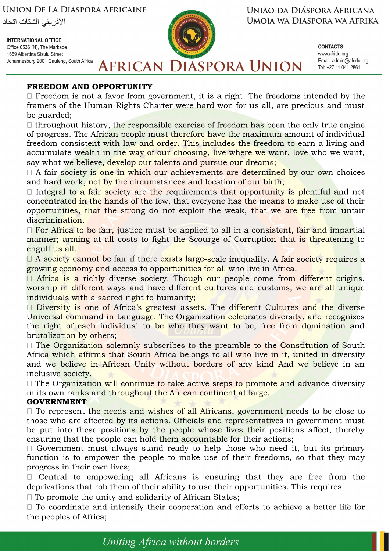**INTERNATIONAL OFFICE** Office 0536 (N), The Markade 1659 Albertina Sisulu Street Johannesburg 2001 Gauteng, South Africa



UNIÃO DA DIÁSPORA AFRICANA UMOJA WA DIASPORA WA AFRIKA

> **CONTACTS** www.afridu.org Email: admin@afridu.org Tel: +27 11 041 2861

**AFRICAN DIASPORA UNION** 

# **FREEDOM AND OPPORTUNITY**

 $\Box$  Freedom is not a favor from government, it is a right. The freedoms intended by the framers of the Human Rights Charter were hard won for us all, are precious and must be guarded;

 $\Box$  throughout history, the responsible exercise of freedom has been the only true engine of progress. The African people must therefore have the maximum amount of individual freedom consistent with law and order. This includes the freedom to earn a living and accumulate wealth in the way of our choosing, live where we want, love who we want, say what we believe, develop our talents and pursue our dreams;

 $\Box$  A fair society is one in which our achievements are determined by our own choices and hard work, not by the circumstances and location of our birth;

 $\Box$  Integral to a fair society are the requirements that opportunity is plentiful and not concentrated in the hands of the few, that everyone has the means to make use of their opportunities, that the strong do not exploit the weak, that we are free from unfair discrimination.

 $\Box$  For Africa to be fair, justice must be applied to all in a consistent, fair and impartial manner; arming at all costs to fight the Scourge of Corruption that is threatening to engulf us all.

 $\Box$  A society cannot be fair if there exists large-scale inequality. A fair society requires a growing economy and access to opportunities for all who live in Africa.

□ Africa is a richly diverse society. Though our people come from different origins, worship in different ways and have different cultures and customs, we are all unique individuals with a sacred right to humanity;

 $\Box$  Diversity is one of Africa's greatest assets. The different Cultures and the diverse Universal command in Language. The Organization celebrates diversity, and recognizes the right of each individual to be who they want to be, free from domination and brutalization by others;

 $\Box$  The Organization solemnly subscribes to the preamble to the Constitution of South Africa which affirms that South Africa belongs to all who live in it, united in diversity and we believe in African Unity without borders of any kind And we believe in an inclusive society.

 $\Box$  The Organization will continue to take active steps to promote and advance diversity in its own ranks and throughout the African continent at large.

### **GOVERNMENT**

 $\Box$  To represent the needs and wishes of all Africans, government needs to be close to those who are affected by its actions. Officials and representatives in government must be put into these positions by the people whose lives their positions affect, thereby ensuring that the people can hold them accountable for their actions;

 $\Box$  Government must always stand ready to help those who need it, but its primary function is to empower the people to make use of their freedoms, so that they may progress in their own lives;

 $\Box$  Central to empowering all Africans is ensuring that they are free from the deprivations that rob them of their ability to use their opportunities. This requires:

 $\Box$  To promote the unity and solidarity of African States;

 $\Box$  To coordinate and intensify their cooperation and efforts to achieve a better life for the peoples of Africa;